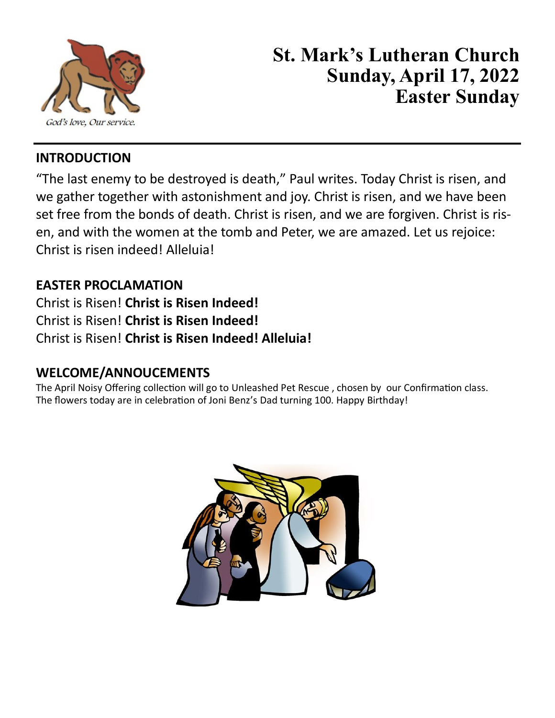

# **St. Mark's Lutheran Church Sunday, April 17, 2022 Easter Sunday**

#### **INTRODUCTION**

"The last enemy to be destroyed is death," Paul writes. Today Christ is risen, and we gather together with astonishment and joy. Christ is risen, and we have been set free from the bonds of death. Christ is risen, and we are forgiven. Christ is risen, and with the women at the tomb and Peter, we are amazed. Let us rejoice: Christ is risen indeed! Alleluia!

#### **EASTER PROCLAMATION**

Christ is Risen! **Christ is Risen Indeed!** Christ is Risen! **Christ is Risen Indeed!** Christ is Risen! **Christ is Risen Indeed! Alleluia!**

#### **WELCOME/ANNOUCEMENTS**

The April Noisy Offering collection will go to Unleashed Pet Rescue , chosen by our Confirmation class. The flowers today are in celebration of Joni Benz's Dad turning 100. Happy Birthday!

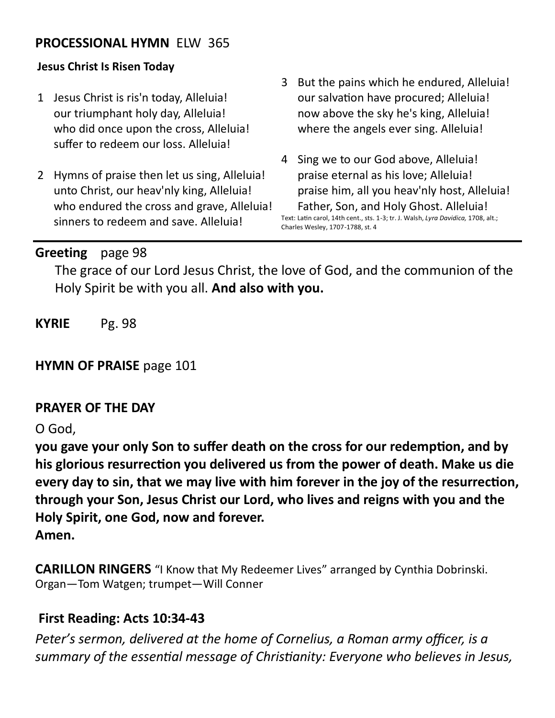#### **PROCESSIONAL HYMN** ELW 365

#### **Jesus Christ Is Risen Today**

- 1 Jesus Christ is ris'n today, Alleluia! our triumphant holy day, Alleluia! who did once upon the cross, Alleluia! suffer to redeem our loss. Alleluia!
- 2 Hymns of praise then let us sing, Alleluia! unto Christ, our heav'nly king, Alleluia! who endured the cross and grave, Alleluia! sinners to redeem and save. Alleluia!
- 3 But the pains which he endured, Alleluia! our salvation have procured; Alleluia! now above the sky he's king, Alleluia! where the angels ever sing. Alleluia!
- 4 Sing we to our God above, Alleluia! praise eternal as his love; Alleluia! praise him, all you heav'nly host, Alleluia! Father, Son, and Holy Ghost. Alleluia! Text: Latin carol, 14th cent., sts. 1-3; tr. J. Walsh, *Lyra Davidica,* 1708, alt.;

Charles Wesley, 1707-1788, st. 4

#### **Greeting** page 98

The grace of our Lord Jesus Christ, the love of God, and the communion of the Holy Spirit be with you all. **And also with you.**

**KYRIE** Pg. 98

**HYMN OF PRAISE** page 101

#### **PRAYER OF THE DAY**

O God,

**you gave your only Son to suffer death on the cross for our redemption, and by his glorious resurrection you delivered us from the power of death. Make us die every day to sin, that we may live with him forever in the joy of the resurrection, through your Son, Jesus Christ our Lord, who lives and reigns with you and the Holy Spirit, one God, now and forever.**

**Amen.**

**CARILLON RINGERS** "I Know that My Redeemer Lives" arranged by Cynthia Dobrinski. Organ—Tom Watgen; trumpet—Will Conner

#### **First Reading: Acts 10:34-43**

*Peter's sermon, delivered at the home of Cornelius, a Roman army officer, is a summary of the essential message of Christianity: Everyone who believes in Jesus,*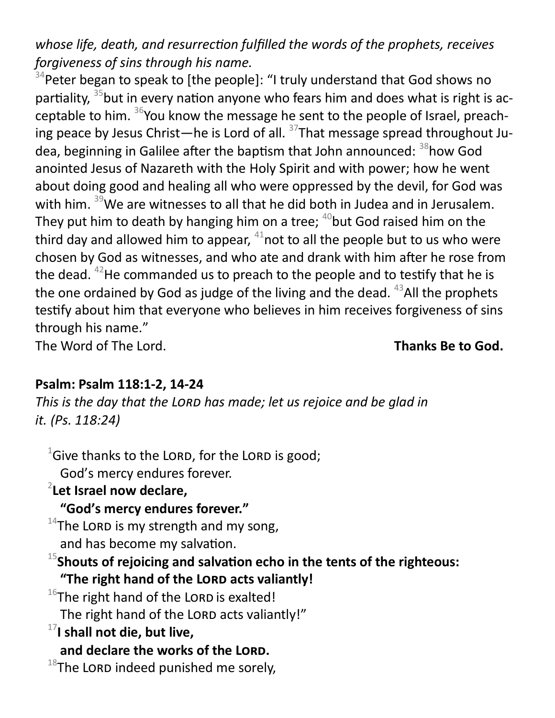*whose life, death, and resurrection fulfilled the words of the prophets, receives forgiveness of sins through his name.*

 $34$ Peter began to speak to [the people]: "I truly understand that God shows no partiality, <sup>35</sup>but in every nation anyone who fears him and does what is right is acceptable to him. <sup>36</sup>You know the message he sent to the people of Israel, preaching peace by Jesus Christ—he is Lord of all.  $37$ That message spread throughout Judea, beginning in Galilee after the baptism that John announced: <sup>38</sup>how God anointed Jesus of Nazareth with the Holy Spirit and with power; how he went about doing good and healing all who were oppressed by the devil, for God was with him. <sup>39</sup>We are witnesses to all that he did both in Judea and in Jerusalem. They put him to death by hanging him on a tree;  $40$  but God raised him on the third day and allowed him to appear,  $41$  not to all the people but to us who were chosen by God as witnesses, and who ate and drank with him after he rose from the dead.  $42$ He commanded us to preach to the people and to testify that he is the one ordained by God as judge of the living and the dead.  $^{43}$ All the prophets testify about him that everyone who believes in him receives forgiveness of sins through his name."

The Word of The Lord. **Thanks Be to God.** 

#### **Psalm: Psalm 118:1-2, 14-24**

*This is the day that the Lord has made; let us rejoice and be glad in it. (Ps. 118:24)*

 $1$ Give thanks to the LORD, for the LORD is good; God's mercy endures forever.

2 **Let Israel now declare,**

**"God's mercy endures forever."**

 $14$ The LORD is my strength and my song,

and has become my salvation.

<sup>15</sup>**Shouts of rejoicing and salvation echo in the tents of the righteous: "The right hand of the Lord acts valiantly!**

 $16$ The right hand of the LORD is exalted!

The right hand of the LORD acts valiantly!"

<sup>17</sup>**I shall not die, but live,**

**and declare the works of the Lord.**

 $18$ The LORD indeed punished me sorely,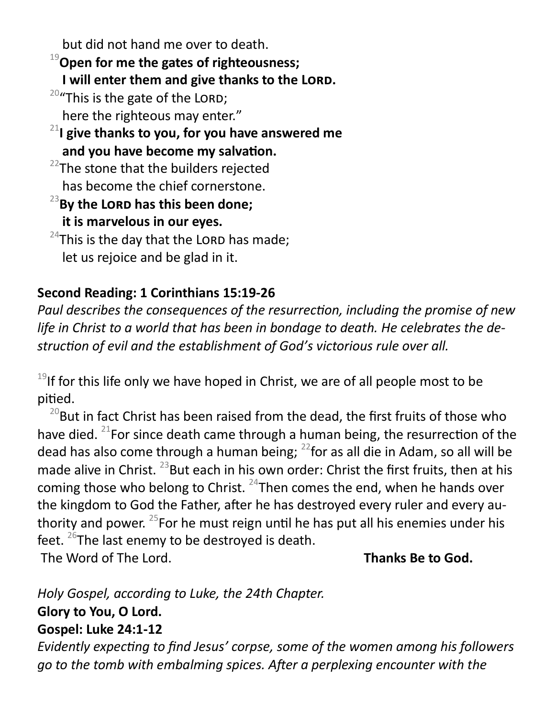but did not hand me over to death.

<sup>19</sup>**Open for me the gates of righteousness;**

**I will enter them and give thanks to the Lord.**

 $20$ "This is the gate of the LORD;

here the righteous may enter."

<sup>21</sup>**I give thanks to you, for you have answered me and you have become my salvation.**

 $22$ The stone that the builders rejected has become the chief cornerstone.

<sup>23</sup>**By the Lord has this been done;**

**it is marvelous in our eyes.**

 $24$ This is the day that the LORD has made; let us rejoice and be glad in it.

## **Second Reading: 1 Corinthians 15:19-26**

*Paul describes the consequences of the resurrection, including the promise of new life in Christ to a world that has been in bondage to death. He celebrates the destruction of evil and the establishment of God's victorious rule over all.*

 $19$ If for this life only we have hoped in Christ, we are of all people most to be pitied.

 $^{20}$ But in fact Christ has been raised from the dead, the first fruits of those who have died. <sup>21</sup>For since death came through a human being, the resurrection of the dead has also come through a human being;  $^{22}$  for as all die in Adam, so all will be made alive in Christ.  $^{23}$ But each in his own order: Christ the first fruits, then at his coming those who belong to Christ.  $^{24}$ Then comes the end, when he hands over the kingdom to God the Father, after he has destroyed every ruler and every authority and power.  $25$  For he must reign until he has put all his enemies under his feet.  $26$ The last enemy to be destroyed is death. The Word of The Lord. **Thanks Be to God.** 

*Holy Gospel, according to Luke, the 24th Chapter.* **Glory to You, O Lord. Gospel: Luke 24:1-12** 

*Evidently expecting to find Jesus' corpse, some of the women among his followers go to the tomb with embalming spices. After a perplexing encounter with the*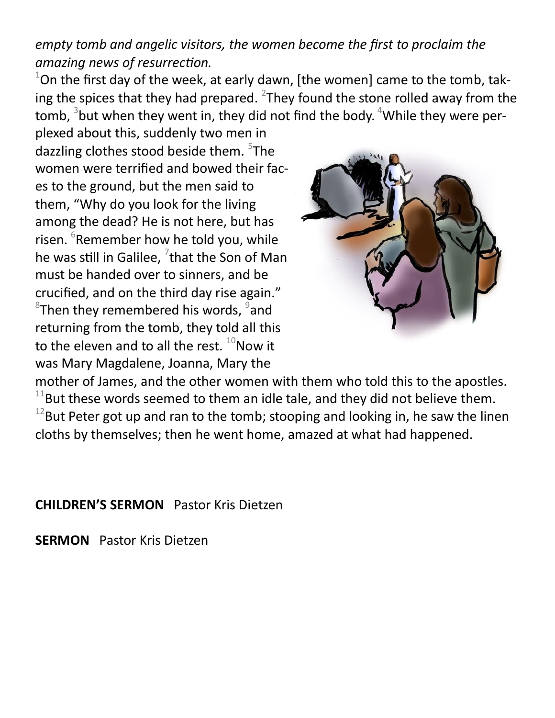*empty tomb and angelic visitors, the women become the first to proclaim the amazing news of resurrection.*

 $1$ On the first day of the week, at early dawn, [the women] came to the tomb, taking the spices that they had prepared.  $^{2}$ They found the stone rolled away from the tomb,  $^3$ but when they went in, they did not find the body.  $^4$ While they were per-

plexed about this, suddenly two men in dazzling clothes stood beside them. <sup>5</sup>The women were terrified and bowed their faces to the ground, but the men said to them, "Why do you look for the living among the dead? He is not here, but has risen. <sup>6</sup>Remember how he told you, while he was still in Galilee,  $^{7}$ that the Son of Man must be handed over to sinners, and be crucified, and on the third day rise again."  ${}^{8}$ Then they remembered his words,  ${}^{9}$ and returning from the tomb, they told all this to the eleven and to all the rest.  $^{10}$ Now it was Mary Magdalene, Joanna, Mary the



mother of James, and the other women with them who told this to the apostles.  $11$ But these words seemed to them an idle tale, and they did not believe them.  $12$ But Peter got up and ran to the tomb; stooping and looking in, he saw the linen cloths by themselves; then he went home, amazed at what had happened.

**CHILDREN'S SERMON** Pastor Kris Dietzen

**SERMON** Pastor Kris Dietzen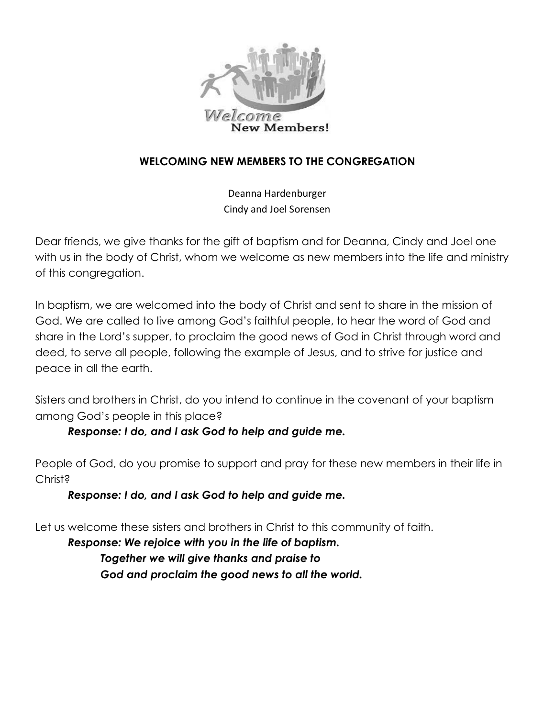

#### **WELCOMING NEW MEMBERS TO THE CONGREGATION**

Deanna Hardenburger Cindy and Joel Sorensen

Dear friends, we give thanks for the gift of baptism and for Deanna, Cindy and Joel one with us in the body of Christ, whom we welcome as new members into the life and ministry of this congregation.

In baptism, we are welcomed into the body of Christ and sent to share in the mission of God. We are called to live among God's faithful people, to hear the word of God and share in the Lord's supper, to proclaim the good news of God in Christ through word and deed, to serve all people, following the example of Jesus, and to strive for justice and peace in all the earth.

Sisters and brothers in Christ, do you intend to continue in the covenant of your baptism among God's people in this place?

#### *Response: I do, and I ask God to help and guide me.*

People of God, do you promise to support and pray for these new members in their life in Christ?

#### *Response: I do, and I ask God to help and guide me.*

Let us welcome these sisters and brothers in Christ to this community of faith.

*Response: We rejoice with you in the life of baptism. Together we will give thanks and praise to God and proclaim the good news to all the world.*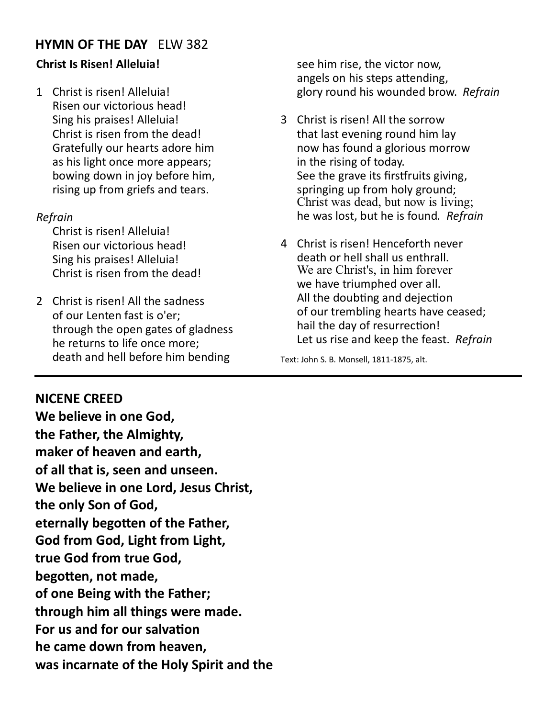#### **HYMN OF THE DAY** ELW 382

#### **Christ Is Risen! Alleluia!**

1 Christ is risen! Alleluia! Risen our victorious head! Sing his praises! Alleluia! Christ is risen from the dead! Gratefully our hearts adore him as his light once more appears; bowing down in joy before him, rising up from griefs and tears.

#### *Refrain*

Christ is risen! Alleluia! Risen our victorious head! Sing his praises! Alleluia! Christ is risen from the dead!

2 Christ is risen! All the sadness of our Lenten fast is o'er; through the open gates of gladness he returns to life once more; death and hell before him bending

see him rise, the victor now, angels on his steps attending, glory round his wounded brow. *Refrain*

- 3 Christ is risen! All the sorrow that last evening round him lay now has found a glorious morrow in the rising of today. See the grave its firstfruits giving, springing up from holy ground; Christ was dead, but now is living; he was lost, but he is found*. Refrain*
- 4 Christ is risen! Henceforth never death or hell shall us enthrall. We are Christ's, in him forever we have triumphed over all. All the doubting and dejection of our trembling hearts have ceased; hail the day of resurrection! Let us rise and keep the feast. *Refrain*

Text: John S. B. Monsell, 1811-1875, alt.

#### **NICENE CREED**

**We believe in one God, the Father, the Almighty, maker of heaven and earth, of all that is, seen and unseen. We believe in one Lord, Jesus Christ, the only Son of God, eternally begotten of the Father, God from God, Light from Light, true God from true God, begotten, not made, of one Being with the Father; through him all things were made. For us and for our salvation he came down from heaven, was incarnate of the Holy Spirit and the**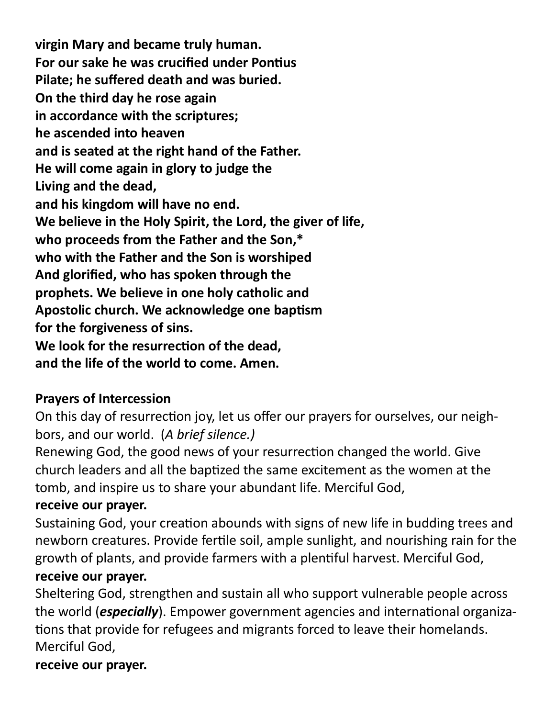**virgin Mary and became truly human. For our sake he was crucified under Pontius Pilate; he suffered death and was buried. On the third day he rose again in accordance with the scriptures; he ascended into heaven and is seated at the right hand of the Father. He will come again in glory to judge the Living and the dead, and his kingdom will have no end. We believe in the Holy Spirit, the Lord, the giver of life, who proceeds from the Father and the Son,\* who with the Father and the Son is worshiped And glorified, who has spoken through the prophets. We believe in one holy catholic and Apostolic church. We acknowledge one baptism for the forgiveness of sins. We look for the resurrection of the dead, and the life of the world to come. Amen.**

## **Prayers of Intercession**

On this day of resurrection joy, let us offer our prayers for ourselves, our neighbors, and our world. (*A brief silence.)*

Renewing God, the good news of your resurrection changed the world. Give church leaders and all the baptized the same excitement as the women at the tomb, and inspire us to share your abundant life. Merciful God,

## **receive our prayer.**

Sustaining God, your creation abounds with signs of new life in budding trees and newborn creatures. Provide fertile soil, ample sunlight, and nourishing rain for the growth of plants, and provide farmers with a plentiful harvest. Merciful God, **receive our prayer.**

Sheltering God, strengthen and sustain all who support vulnerable people across the world (*especially*). Empower government agencies and international organizations that provide for refugees and migrants forced to leave their homelands. Merciful God,

## **receive our prayer.**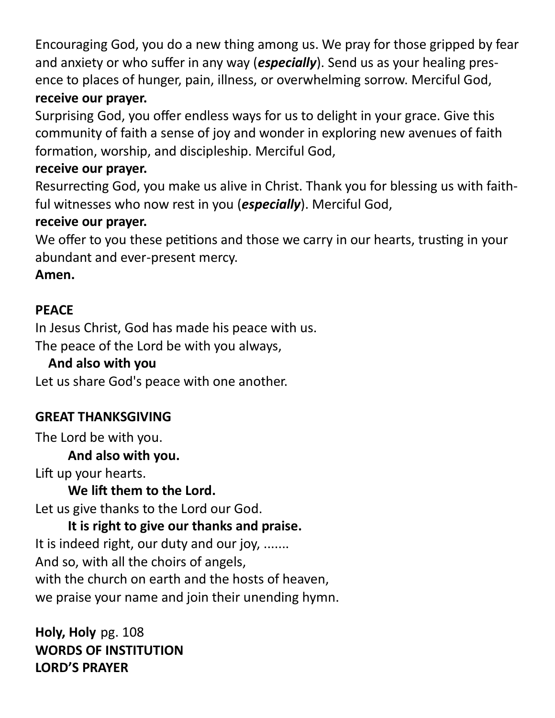Encouraging God, you do a new thing among us. We pray for those gripped by fear and anxiety or who suffer in any way (*especially*). Send us as your healing presence to places of hunger, pain, illness, or overwhelming sorrow. Merciful God, **receive our prayer.**

Surprising God, you offer endless ways for us to delight in your grace. Give this community of faith a sense of joy and wonder in exploring new avenues of faith formation, worship, and discipleship. Merciful God,

## **receive our prayer.**

Resurrecting God, you make us alive in Christ. Thank you for blessing us with faithful witnesses who now rest in you (*especially*). Merciful God,

#### **receive our prayer.**

We offer to you these petitions and those we carry in our hearts, trusting in your abundant and ever-present mercy.

## **Amen.**

## **PEACE**

In Jesus Christ, God has made his peace with us. The peace of the Lord be with you always,

## **And also with you**

Let us share God's peace with one another.

## **GREAT THANKSGIVING**

The Lord be with you.

## **And also with you.**

Lift up your hearts.

## **We lift them to the Lord.**

Let us give thanks to the Lord our God.

## **It is right to give our thanks and praise.**

It is indeed right, our duty and our joy, ....... And so, with all the choirs of angels, with the church on earth and the hosts of heaven, we praise your name and join their unending hymn.

**Holy, Holy** pg. 108 **WORDS OF INSTITUTION LORD'S PRAYER**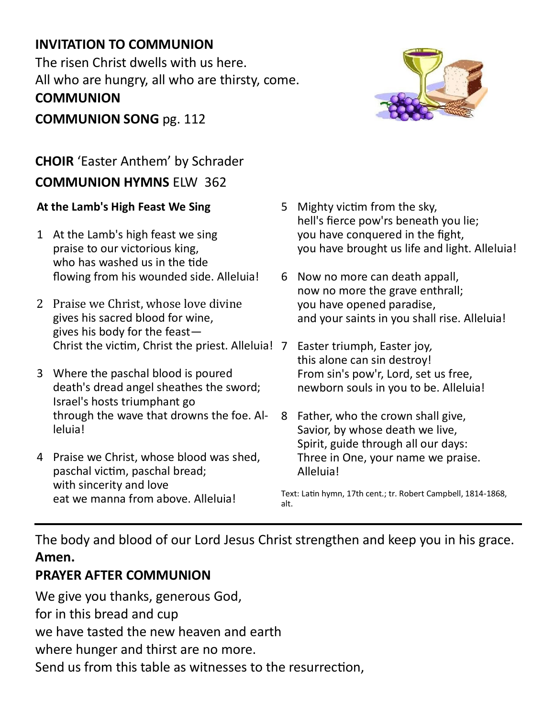## **INVITATION TO COMMUNION**

The risen Christ dwells with us here. All who are hungry, all who are thirsty, come. **COMMUNION** 

**COMMUNION SONG** pg. 112

## **CHOIR** 'Easter Anthem' by Schrader **COMMUNION HYMNS** ELW 362

#### **At the Lamb's High Feast We Sing**

- 1 At the Lamb's high feast we sing praise to our victorious king, who has washed us in the tide flowing from his wounded side. Alleluia!
- 2 Praise we Christ, whose love divine gives his sacred blood for wine, gives his body for the feast— Christ the victim, Christ the priest. Alleluia!
- 3 Where the paschal blood is poured death's dread angel sheathes the sword; Israel's hosts triumphant go through the wave that drowns the foe. Alleluia!
- 4 Praise we Christ, whose blood was shed, paschal victim, paschal bread; with sincerity and love eat we manna from above. Alleluia!
- 5 Mighty victim from the sky, hell's fierce pow'rs beneath you lie; you have conquered in the fight, you have brought us life and light. Alleluia!
- 6 Now no more can death appall, now no more the grave enthrall; you have opened paradise, and your saints in you shall rise. Alleluia!
- 7 Easter triumph, Easter joy*,* this alone can sin destroy! From sin's pow'r, Lord, set us free, newborn souls in you to be. Alleluia!
- 8 Father, who the crown shall give, Savior, by whose death we live, Spirit, guide through all our days: Three in One, your name we praise. Alleluia!

Text: Latin hymn, 17th cent.; tr. Robert Campbell, 1814-1868, alt.

The body and blood of our Lord Jesus Christ strengthen and keep you in his grace. **Amen.**

## **PRAYER AFTER COMMUNION**

We give you thanks, generous God, for in this bread and cup we have tasted the new heaven and earth where hunger and thirst are no more.

Send us from this table as witnesses to the resurrection,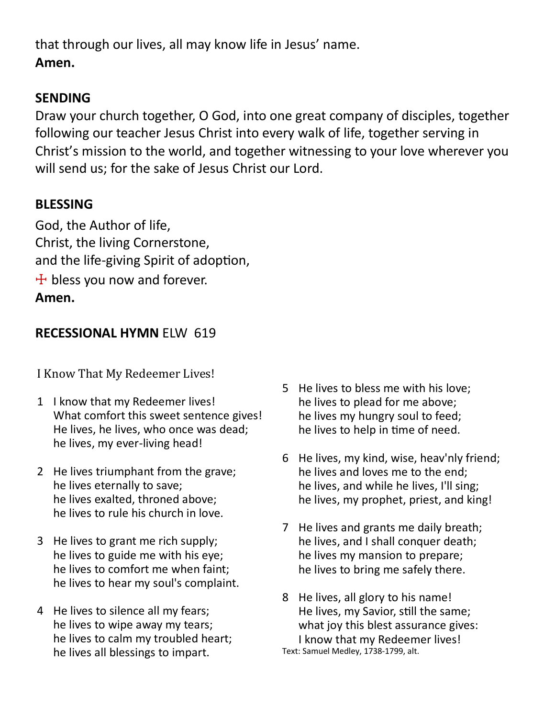that through our lives, all may know life in Jesus' name. **Amen.**

#### **SENDING**

Draw your church together, O God, into one great company of disciples, together following our teacher Jesus Christ into every walk of life, together serving in Christ's mission to the world, and together witnessing to your love wherever you will send us; for the sake of Jesus Christ our Lord.

#### **BLESSING**

God, the Author of life, Christ, the living Cornerstone, and the life-giving Spirit of adoption,  $+$  bless you now and forever. **Amen.**

#### **RECESSIONAL HYMN** ELW 619

I Know That My Redeemer Lives!

- 1 I know that my Redeemer lives! What comfort this sweet sentence gives! He lives, he lives, who once was dead; he lives, my ever-living head!
- 2 He lives triumphant from the grave; he lives eternally to save; he lives exalted, throned above; he lives to rule his church in love.
- 3 He lives to grant me rich supply; he lives to guide me with his eye; he lives to comfort me when faint; he lives to hear my soul's complaint.
- 4 He lives to silence all my fears; he lives to wipe away my tears; he lives to calm my troubled heart; he lives all blessings to impart.
- 5 He lives to bless me with his love; he lives to plead for me above; he lives my hungry soul to feed; he lives to help in time of need.
- 6 He lives, my kind, wise, heav'nly friend; he lives and loves me to the end; he lives, and while he lives, I'll sing; he lives, my prophet, priest, and king!
- 7 He lives and grants me daily breath; he lives, and I shall conquer death; he lives my mansion to prepare; he lives to bring me safely there.
- 8 He lives, all glory to his name! He lives, my Savior, still the same; what joy this blest assurance gives: I know that my Redeemer lives! Text: Samuel Medley, 1738-1799, alt.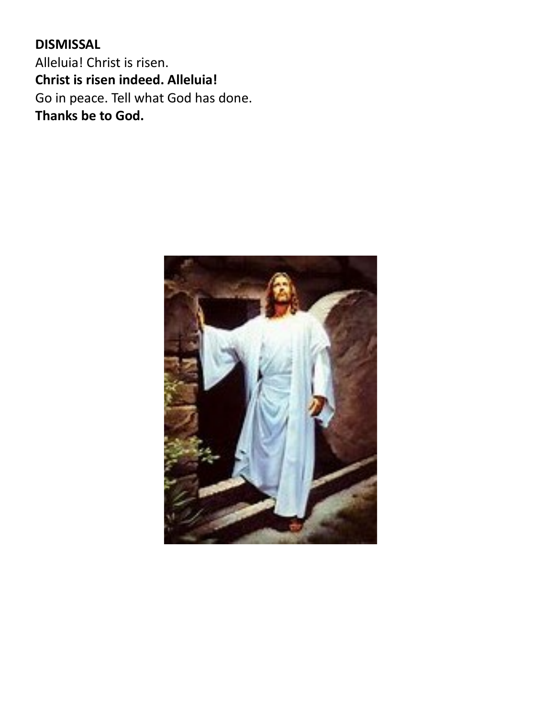**DISMISSAL** Alleluia! Christ is risen. **Christ is risen indeed. Alleluia!** Go in peace. Tell what God has done. **Thanks be to God.**

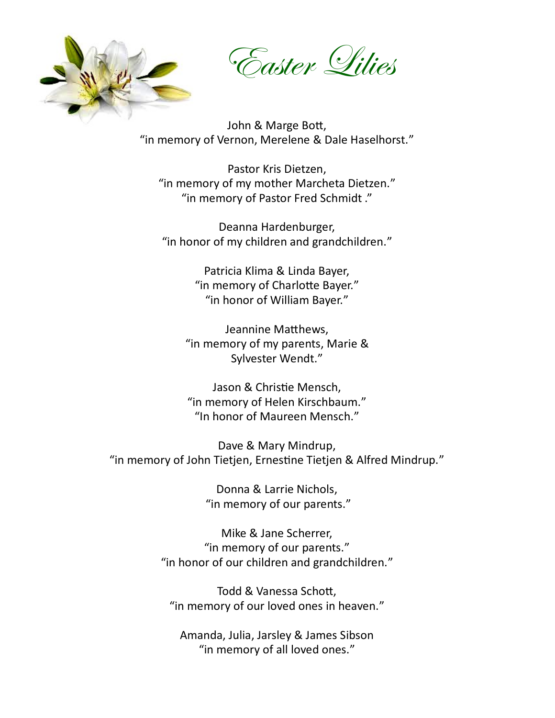

Easter Lilies

John & Marge Bott, "in memory of Vernon, Merelene & Dale Haselhorst."

Pastor Kris Dietzen, "in memory of my mother Marcheta Dietzen." "in memory of Pastor Fred Schmidt ."

Deanna Hardenburger, "in honor of my children and grandchildren."

> Patricia Klima & Linda Bayer, "in memory of Charlotte Bayer." "in honor of William Bayer."

Jeannine Matthews, "in memory of my parents, Marie & Sylvester Wendt."

Jason & Christie Mensch, "in memory of Helen Kirschbaum." "In honor of Maureen Mensch."

Dave & Mary Mindrup, "in memory of John Tietjen, Ernestine Tietjen & Alfred Mindrup."

> Donna & Larrie Nichols, "in memory of our parents."

Mike & Jane Scherrer, "in memory of our parents." "in honor of our children and grandchildren."

Todd & Vanessa Schott, "in memory of our loved ones in heaven."

Amanda, Julia, Jarsley & James Sibson "in memory of all loved ones."